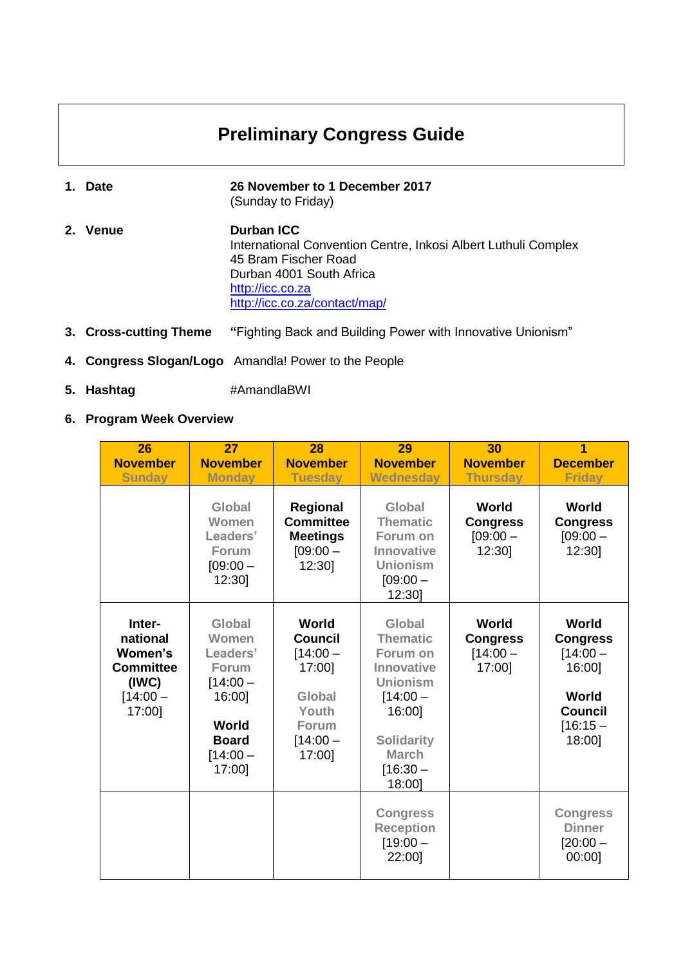# **Preliminary Congress Guide**

- **1. Date 26 November to 1 December 2017** (Sunday to Friday)
- **2. Venue Durban ICC** International Convention Centre, Inkosi Albert Luthuli Complex 45 Bram Fischer Road Durban 4001 South Africa [http://icc.co.za](http://icc.co.za/) <http://icc.co.za/contact/map/>
- **3. Cross-cutting Theme "**Fighting Back and Building Power with Innovative Unionism"
- **4. Congress Slogan/Logo** Amandla! Power to the People
- **5. Hashtag** #AmandlaBWI
- **6. Program Week Overview**

| 26<br><b>November</b><br><b>Sunday</b>                                             | 27<br><b>November</b><br><b>Monday</b>                                                                               | 28<br><b>November</b><br><b>Tuesday</b>                                                             | 29<br><b>November</b><br><b>Wednesday</b>                                                                                                                   | 30<br><b>November</b><br><b>Thursday</b>         | 1<br><b>December</b><br><b>Friday</b>                                                              |
|------------------------------------------------------------------------------------|----------------------------------------------------------------------------------------------------------------------|-----------------------------------------------------------------------------------------------------|-------------------------------------------------------------------------------------------------------------------------------------------------------------|--------------------------------------------------|----------------------------------------------------------------------------------------------------|
|                                                                                    | Global<br>Women<br>Leaders'<br><b>Forum</b><br>$[09:00 -$<br>12:30]                                                  | <b>Regional</b><br><b>Committee</b><br><b>Meetings</b><br>$[09:00 -$<br>12:30                       | Global<br><b>Thematic</b><br>Forum on<br>Innovative<br><b>Unionism</b><br>$[09:00 -$<br>12:30]                                                              | World<br><b>Congress</b><br>$[09:00 -$<br>12:30] | World<br><b>Congress</b><br>$[09:00 -$<br>12:30]                                                   |
| Inter-<br>national<br>Women's<br><b>Committee</b><br>(IWC)<br>$[14:00 -$<br>17:00] | Global<br>Women<br>Leaders'<br><b>Forum</b><br>$[14:00 -$<br>16:00]<br>World<br><b>Board</b><br>$[14:00 -$<br>17:00] | World<br><b>Council</b><br>$[14:00 -$<br>17:00]<br>Global<br>Youth<br>Forum<br>$[14:00 -$<br>17:00] | Global<br><b>Thematic</b><br>Forum on<br>Innovative<br><b>Unionism</b><br>$[14:00 -$<br>16:00]<br><b>Solidarity</b><br><b>March</b><br>$[16:30 -$<br>18:00] | World<br><b>Congress</b><br>$[14:00 -$<br>17:00] | World<br><b>Congress</b><br>$[14:00 -$<br>16:00]<br>World<br><b>Council</b><br>$[16:15-$<br>18:00] |
|                                                                                    |                                                                                                                      |                                                                                                     | <b>Congress</b><br><b>Reception</b><br>$[19:00 -$<br>22:00]                                                                                                 |                                                  | <b>Congress</b><br><b>Dinner</b><br>$[20:00 -$<br>00:00]                                           |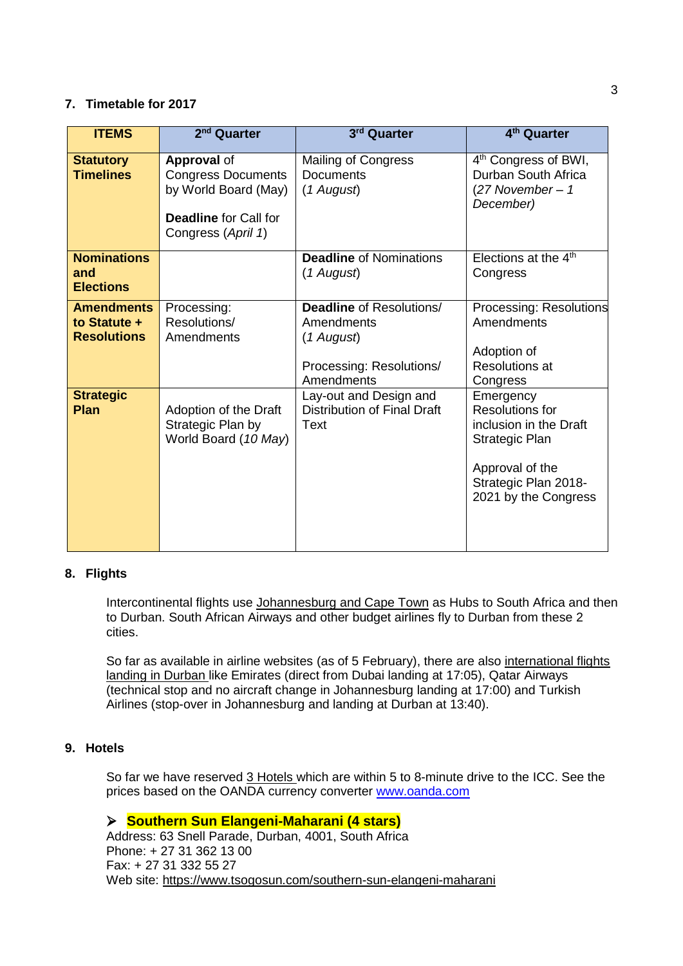#### **7. Timetable for 2017**

| <b>ITEMS</b>                                            | 2 <sup>nd</sup> Quarter                                                                                                       | 3rd Quarter                                                                                           | 4 <sup>th</sup> Quarter                                                                                                                     |
|---------------------------------------------------------|-------------------------------------------------------------------------------------------------------------------------------|-------------------------------------------------------------------------------------------------------|---------------------------------------------------------------------------------------------------------------------------------------------|
| <b>Statutory</b><br><b>Timelines</b>                    | <b>Approval of</b><br><b>Congress Documents</b><br>by World Board (May)<br><b>Deadline</b> for Call for<br>Congress (April 1) | <b>Mailing of Congress</b><br><b>Documents</b><br>(1 August)                                          | 4 <sup>th</sup> Congress of BWI,<br>Durban South Africa<br>$(27 November - 1$<br>December)                                                  |
| <b>Nominations</b><br>and<br><b>Elections</b>           |                                                                                                                               | <b>Deadline of Nominations</b><br>(1 August)                                                          | Elections at the $4th$<br>Congress                                                                                                          |
| <b>Amendments</b><br>to Statute +<br><b>Resolutions</b> | Processing:<br>Resolutions/<br>Amendments                                                                                     | <b>Deadline of Resolutions/</b><br>Amendments<br>(1 August)<br>Processing: Resolutions/<br>Amendments | Processing: Resolutions<br>Amendments<br>Adoption of<br><b>Resolutions at</b><br>Congress                                                   |
| <b>Strategic</b><br>Plan                                | Adoption of the Draft<br>Strategic Plan by<br>World Board (10 May)                                                            | Lay-out and Design and<br><b>Distribution of Final Draft</b><br>Text                                  | Emergency<br>Resolutions for<br>inclusion in the Draft<br>Strategic Plan<br>Approval of the<br>Strategic Plan 2018-<br>2021 by the Congress |

# **8. Flights**

Intercontinental flights use Johannesburg and Cape Town as Hubs to South Africa and then to Durban. South African Airways and other budget airlines fly to Durban from these 2 cities.

So far as available in airline websites (as of 5 February), there are also international flights landing in Durban like Emirates (direct from Dubai landing at 17:05), Qatar Airways (technical stop and no aircraft change in Johannesburg landing at 17:00) and Turkish Airlines (stop-over in Johannesburg and landing at Durban at 13:40).

### **9. Hotels**

So far we have reserved 3 Hotels which are within 5 to 8-minute drive to the ICC. See the prices based on the OANDA currency converter [www.oanda.com](http://www.oanda.com/)

# **Southern Sun Elangeni-Maharani (4 stars)**

Address: 63 Snell Parade, Durban, 4001, South Africa Phone: + 27 31 362 13 00 Fax: + 27 31 332 55 27 Web site: <https://www.tsogosun.com/southern-sun-elangeni-maharani>